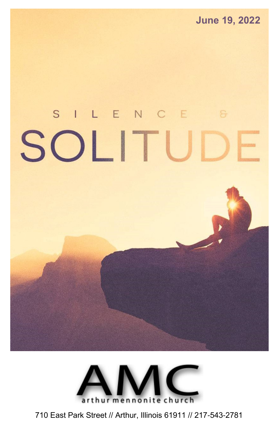# SILENCE SOLITU



710 East Park Street // Arthur, Illinois 61911 // 217-543-2781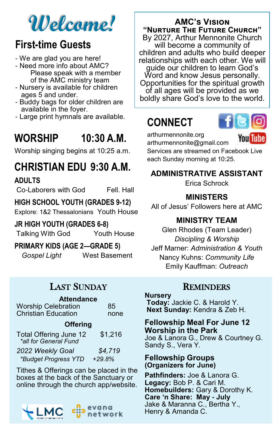# **Welcome!**

# **First-time Guests**

- We are glad you are here!
- Need more info about AMC? Please speak with a member of the AMC ministry team
- Nursery is available for children ages 5 and under.
- Buddy bags for older children are available in the foyer.
- Large print hymnals are available.

# **WORSHIP 10:30 A.M.**

Worship singing begins at 10:25 a.m.

# **CHRISTIAN EDU 9:30 A.M.**

**ADULTS**

Co-Laborers with God Fell. Hall

### **HIGH SCHOOL YOUTH (GRADES 9-12)**

Explore: 1&2 Thessalonians Youth House

### **JR HIGH YOUTH (GRADES 6-8)**

Talking With God Youth House

**PRIMARY KIDS (AGE 2—GRADE 5)**

*Gospel Light* West Basement

## LAST SUNDAY

| <b>Attendance</b>                                                                |          |  |
|----------------------------------------------------------------------------------|----------|--|
| <b>Worship Celebration</b>                                                       | 85       |  |
| <b>Christian Education</b>                                                       | none     |  |
| <b>Offering</b>                                                                  |          |  |
| Total Offering June 12<br>*all for General Fund                                  | \$1,216  |  |
| 2022 Weekly Goal                                                                 | \$4,719  |  |
| *Budget Progress YTD                                                             | $+29.8%$ |  |
| Tithes & Offerings can be placed in the<br>hoves at the hack of the Sanctuary or |          |  |

boxes at the back of the Sanctuary or online through the church app/website.



### **AMC's Vision "Nurture The Future Church"**

By 2027, Arthur Mennonite Church will become a community of children and adults who build deeper relationships with each other. We will guide our children to learn God's Word and know Jesus personally. Opportunities for the spiritual growth of all ages will be provided as we boldly share God's love to the world.

# **CONNECT**



arthurmennonite.org

Youl

arthurmennonite@gmail.com Services are streamed on Facebook Live each Sunday morning at 10:25.

### **ADMINISTRATIVE ASSISTANT**

Erica Schrock

### **MINISTERS**

All of Jesus' Followers here at AMC

### **MINISTRY TEAM**

Glen Rhodes (Team Leader) *Discipling & Worship*  Jeff Marner: *Administration & Youth* Nancy Kuhns: *Community Life* Emily Kauffman: *Outreach*

### **REMINDERS**

### **Nursery**

**Today:** Jackie C. & Harold Y. **Next Sunday:** Kendra & Zeb H.

### **Fellowship Meal For June 12 Worship in the Park** Joe & Lanora G., Drew & Courtney G. Sandy S., Vera Y.

### **Fellowship Groups (Organizers for June)**

**Pathfinders:** Joe & Lanora G. **Legacy:** Bob P. & Cari M. **Homebuilders:** Gary & Dorothy K. **Care 'n Share: May - July** Jake & Maranna C., Bertha Y., Henry & Amanda C.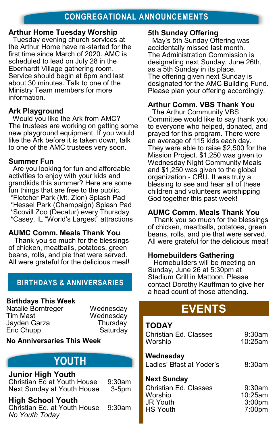### **Arthur Home Tuesday Worship**

Tuesday evening church services at the Arthur Home have re-started for the first time since March of 2020. AMC is scheduled to lead on July 28 in the Eberhardt Village gathering room. Service should begin at 6pm and last about 30 minutes. Talk to one of the Ministry Team members for more information.

### **Ark Playground**

Would you like the Ark from AMC? The trustees are working on getting some new playground equipment. If you would like the Ark before it is taken down, talk to one of the AMC trustees very soon.

### **Summer Fun**

Are you looking for fun and affordable activities to enjoy with your kids and grandkids this summer? Here are some fun things that are free to the public. \*Fletcher Park (Mt. Zion) Splash Pad \*Hessel Park (Champaign) Splash Pad \*Scovill Zoo (Decatur) every Thursday \*Casey, IL "World's Largest" attractions

### **AUMC Comm. Meals Thank You**

 Thank you so much for the blessings of chicken, meatballs, potatoes, green beans, rolls, and pie that were served. All were grateful for the delicious meal!

### **BIRTHDAYS & ANNIVERSARIES**

### **Birthdays This Week**

Natalie Borntreger Wednesday Jayden Garza Thursday Eric Chupp Saturday

Wednesday

### **No Anniversaries This Week**

# YOUTH

### **Junior High Youth**

Christian Ed at Youth House 9:30am Next Sunday at Youth House 3-5pm

### **High School Youth**

Christian Ed. at Youth House 9:30am *No Youth Today*

**5th Sunday Offering**

May's 5th Sunday Offering was accidentally missed last month. The Administration Commission is designating next Sunday, June 26th, as a 5th Sunday in its place. The offering given next Sunday is designated for the AMC Building Fund. Please plan your offering accordingly.

### **Arthur Comm. VBS Thank You**

The Arthur Community VBS Committee would like to say thank you to everyone who helped, donated, and prayed for this program. There were an average of 115 kids each day. They were able to raise \$2,500 for the Mission Project. \$1,250 was given to Wednesday Night Community Meals and \$1,250 was given to the global organization - CRU. It was truly a blessing to see and hear all of these children and volunteers worshipping God together this past week!

### **AUMC Comm. Meals Thank You**

 Thank you so much for the blessings of chicken, meatballs, potatoes, green beans, rolls, and pie that were served. All were grateful for the delicious meal!

### **Homebuilders Gathering**

 Homebuilders will be meeting on Sunday, June 26 at 5:30pm at Stadium Grill in Mattoon. Please contact Dorothy Kauffman to give her a head count of those attending.

# **EVENTS**

### **TODAY**

| Christian Ed. Classes<br>Worship                                                             | $9:30$ am<br>$10:25$ am                           |
|----------------------------------------------------------------------------------------------|---------------------------------------------------|
| Wednesday<br>Ladies' Bfast at Yoder's                                                        | 8:30am                                            |
| <b>Next Sunday</b><br>Christian Ed. Classes<br>Worship<br><b>JR Youth</b><br><b>HS Youth</b> | 9:30am<br>10:25am<br>3:00 <sub>pm</sub><br>7:00pm |